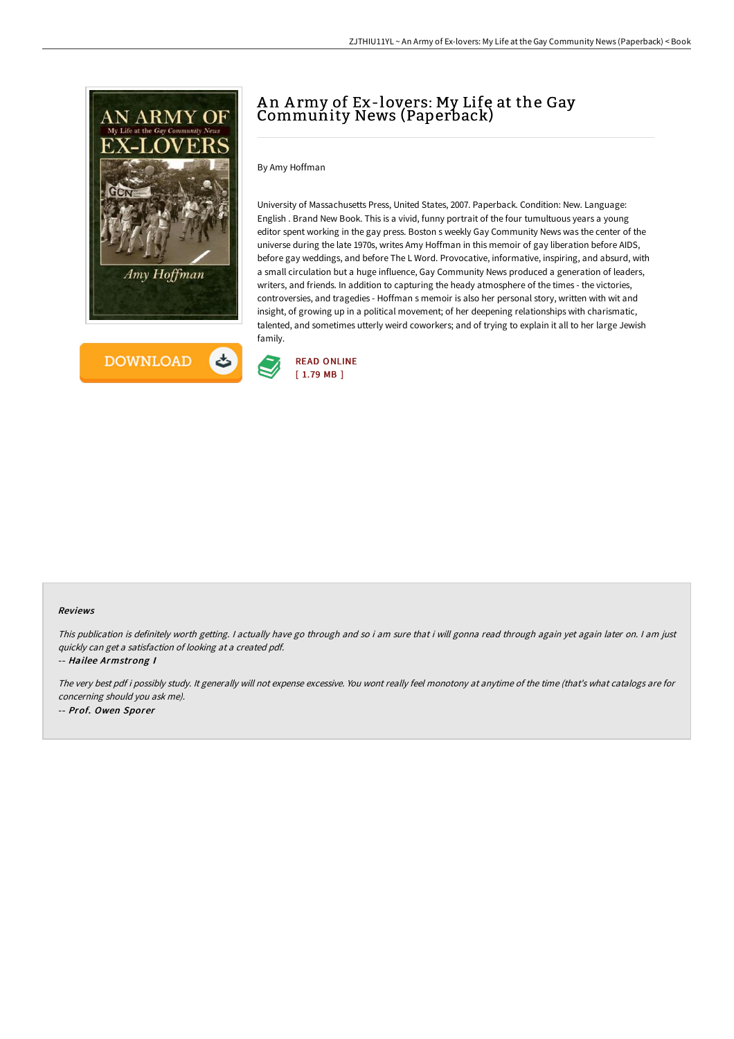



## A n A rmy of Ex-lovers: My Life at the Gay Community News (Paperback)

By Amy Hoffman

University of Massachusetts Press, United States, 2007. Paperback. Condition: New. Language: English . Brand New Book. This is a vivid, funny portrait of the four tumultuous years a young editor spent working in the gay press. Boston s weekly Gay Community News was the center of the universe during the late 1970s, writes Amy Hoffman in this memoir of gay liberation before AIDS, before gay weddings, and before The L Word. Provocative, informative, inspiring, and absurd, with a small circulation but a huge influence, Gay Community News produced a generation of leaders, writers, and friends. In addition to capturing the heady atmosphere of the times - the victories, controversies, and tragedies - Hoffman s memoir is also her personal story, written with wit and insight, of growing up in a political movement; of her deepening relationships with charismatic, talented, and sometimes utterly weird coworkers; and of trying to explain it all to her large Jewish family.



#### Reviews

This publication is definitely worth getting. <sup>I</sup> actually have go through and so i am sure that i will gonna read through again yet again later on. <sup>I</sup> am just quickly can get <sup>a</sup> satisfaction of looking at <sup>a</sup> created pdf.

-- Hailee Armstrong I

The very best pdf i possibly study. It generally will not expense excessive. You wont really feel monotony at anytime of the time (that's what catalogs are for concerning should you ask me). -- Prof. Owen Sporer